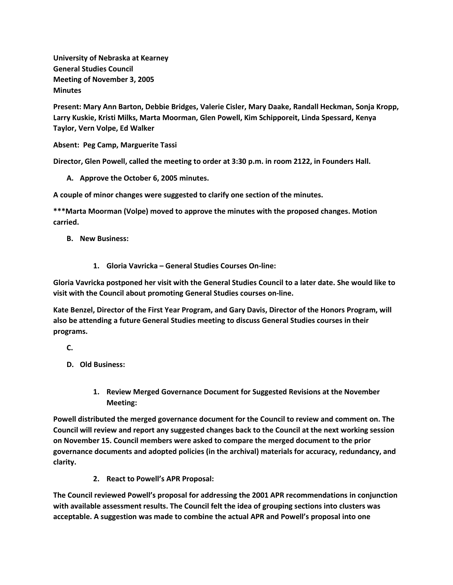**University of Nebraska at Kearney General Studies Council Meeting of November 3, 2005 Minutes**

**Present: Mary Ann Barton, Debbie Bridges, Valerie Cisler, Mary Daake, Randall Heckman, Sonja Kropp, Larry Kuskie, Kristi Milks, Marta Moorman, Glen Powell, Kim Schipporeit, Linda Spessard, Kenya Taylor, Vern Volpe, Ed Walker**

**Absent: Peg Camp, Marguerite Tassi**

**Director, Glen Powell, called the meeting to order at 3:30 p.m. in room 2122, in Founders Hall.**

**A. Approve the October 6, 2005 minutes.**

**A couple of minor changes were suggested to clarify one section of the minutes.**

**\*\*\*Marta Moorman (Volpe) moved to approve the minutes with the proposed changes. Motion carried.**

- **B. New Business:**
	- **1. Gloria Vavricka – General Studies Courses On-line:**

**Gloria Vavricka postponed her visit with the General Studies Council to a later date. She would like to visit with the Council about promoting General Studies courses on-line.**

**Kate Benzel, Director of the First Year Program, and Gary Davis, Director of the Honors Program, will also be attending a future General Studies meeting to discuss General Studies courses in their programs.**

**C.**

- **D. Old Business:**
	- **1. Review Merged Governance Document for Suggested Revisions at the November Meeting:**

**Powell distributed the merged governance document for the Council to review and comment on. The Council will review and report any suggested changes back to the Council at the next working session on November 15. Council members were asked to compare the merged document to the prior governance documents and adopted policies (in the archival) materials for accuracy, redundancy, and clarity.**

**2. React to Powell's APR Proposal:**

**The Council reviewed Powell's proposal for addressing the 2001 APR recommendations in conjunction with available assessment results. The Council felt the idea of grouping sections into clusters was acceptable. A suggestion was made to combine the actual APR and Powell's proposal into one**